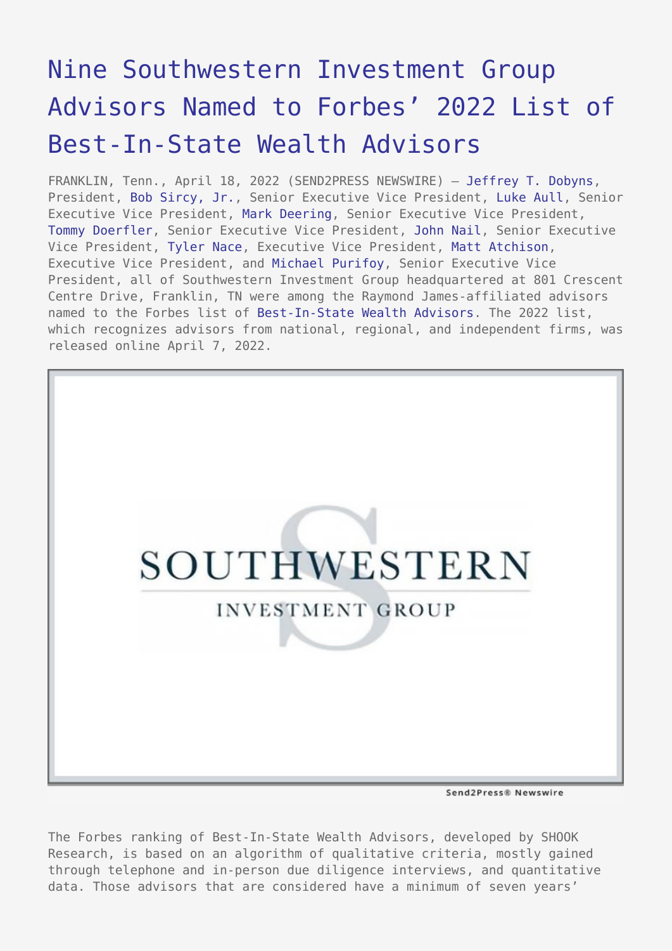## [Nine Southwestern Investment Group](https://www.send2press.com/wire/nine-southwestern-investment-group-advisors-named-to-forbes-2022-list-of-best-in-state-wealth-advisors/) [Advisors Named to Forbes' 2022 List of](https://www.send2press.com/wire/nine-southwestern-investment-group-advisors-named-to-forbes-2022-list-of-best-in-state-wealth-advisors/) [Best-In-State Wealth Advisors](https://www.send2press.com/wire/nine-southwestern-investment-group-advisors-named-to-forbes-2022-list-of-best-in-state-wealth-advisors/)

FRANKLIN, Tenn., April 18, 2022 (SEND2PRESS NEWSWIRE) — [Jeffrey T. Dobyns,](https://www.swinvestmentgroup.com/advisors/dobyns-wealth-team/) President, [Bob Sircy, Jr.](https://www.swinvestmentgroup.com/advisors/sircy-hurd-wealth-team/), Senior Executive Vice President, [Luke Aull](https://www.swinvestmentgroup.com/advisors/aull-wealth-team/), Senior Executive Vice President, [Mark Deering](https://www.swinvestmentgroup.com/advisors/deering-wealth-team/), Senior Executive Vice President, [Tommy Doerfler](https://www.swinvestmentgroup.com/advisors/lighthouse-wealth-team/), Senior Executive Vice President, [John Nail,](https://www.swinvestmentgroup.com/advisors/nail-wealth-team/) Senior Executive Vice President, [Tyler Nace,](https://www.swinvestmentgroup.com/advisors/nace-wealth-team/) Executive Vice President, [Matt Atchison](https://www.swinvestmentgroup.com/advisors/atchison-wealth-team/), Executive Vice President, and [Michael Purifoy,](https://www.swinvestmentgroup.com/advisors/purifoy-wealth-team/) Senior Executive Vice President, all of Southwestern Investment Group headquartered at 801 Crescent Centre Drive, Franklin, TN were among the Raymond James-affiliated advisors named to the Forbes list of [Best-In-State Wealth Advisors.](https://www.forbes.com/best-in-state-wealth-advisors/#45bfdac3291d) The 2022 list, which recognizes advisors from national, regional, and independent firms, was released online April 7, 2022.



Send2Press® Newswire

The Forbes ranking of Best-In-State Wealth Advisors, developed by SHOOK Research, is based on an algorithm of qualitative criteria, mostly gained through telephone and in-person due diligence interviews, and quantitative data. Those advisors that are considered have a minimum of seven years'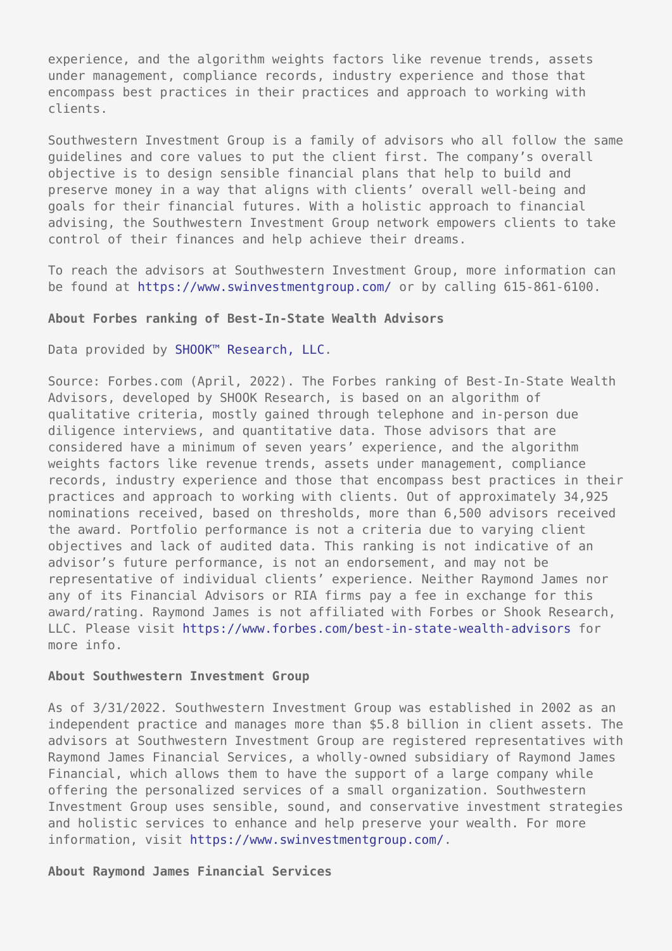experience, and the algorithm weights factors like revenue trends, assets under management, compliance records, industry experience and those that encompass best practices in their practices and approach to working with clients.

Southwestern Investment Group is a family of advisors who all follow the same guidelines and core values to put the client first. The company's overall objective is to design sensible financial plans that help to build and preserve money in a way that aligns with clients' overall well-being and goals for their financial futures. With a holistic approach to financial advising, the Southwestern Investment Group network empowers clients to take control of their finances and help achieve their dreams.

To reach the advisors at Southwestern Investment Group, more information can be found at <https://www.swinvestmentgroup.com/> or by calling 615-861-6100.

## **About Forbes ranking of Best-In-State Wealth Advisors**

Data provided by [SHOOK™ Research, LLC.](https://www.shookresearch.com/)

Source: Forbes.com (April, 2022). The Forbes ranking of Best-In-State Wealth Advisors, developed by SHOOK Research, is based on an algorithm of qualitative criteria, mostly gained through telephone and in-person due diligence interviews, and quantitative data. Those advisors that are considered have a minimum of seven years' experience, and the algorithm weights factors like revenue trends, assets under management, compliance records, industry experience and those that encompass best practices in their practices and approach to working with clients. Out of approximately 34,925 nominations received, based on thresholds, more than 6,500 advisors received the award. Portfolio performance is not a criteria due to varying client objectives and lack of audited data. This ranking is not indicative of an advisor's future performance, is not an endorsement, and may not be representative of individual clients' experience. Neither Raymond James nor any of its Financial Advisors or RIA firms pay a fee in exchange for this award/rating. Raymond James is not affiliated with Forbes or Shook Research, LLC. Please visit [https://www.forbes.com/best-in-state-wealth-advisors](https://www.forbes.com/best-in-state-wealth-advisors%20) for more info.

## **About Southwestern Investment Group**

As of 3/31/2022. Southwestern Investment Group was established in 2002 as an independent practice and manages more than \$5.8 billion in client assets. The advisors at Southwestern Investment Group are registered representatives with Raymond James Financial Services, a wholly-owned subsidiary of Raymond James Financial, which allows them to have the support of a large company while offering the personalized services of a small organization. Southwestern Investment Group uses sensible, sound, and conservative investment strategies and holistic services to enhance and help preserve your wealth. For more information, visit<https://www.swinvestmentgroup.com/>.

**About Raymond James Financial Services**